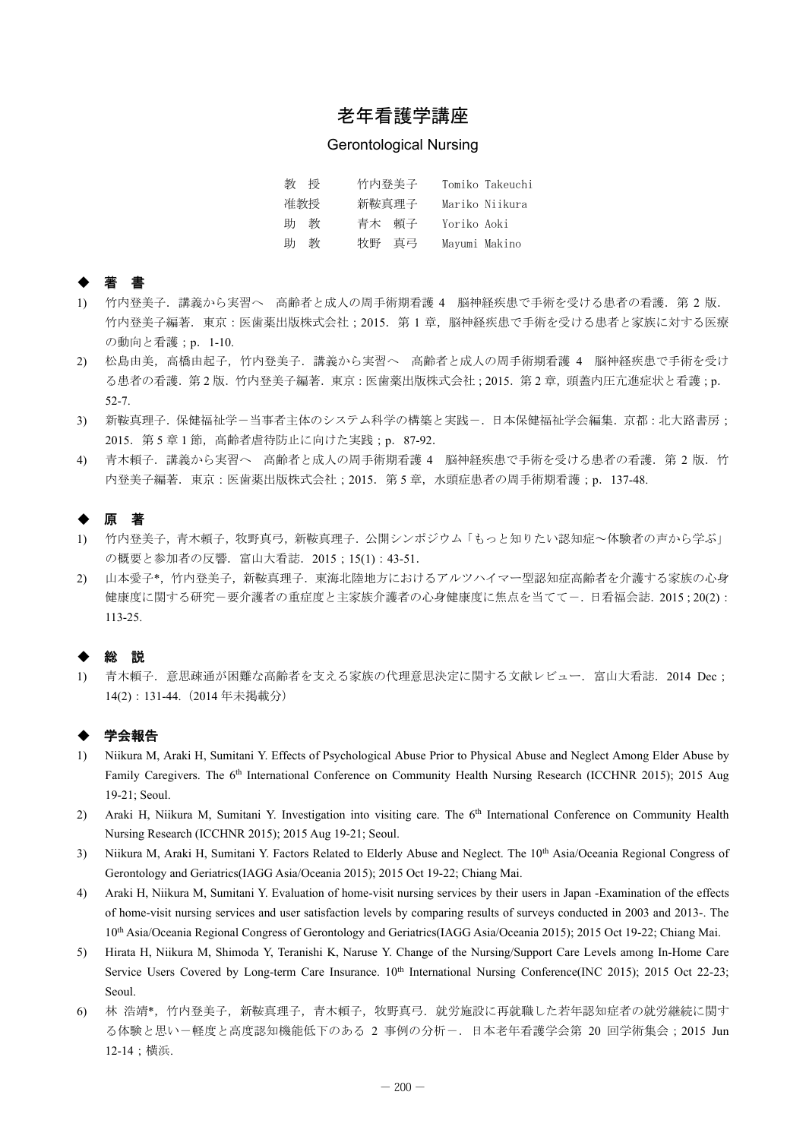# 老年看護学講座

### Gerontological Nursing

| 教授  |   | 竹内登美子 |             | Tomiko Takeuchi |
|-----|---|-------|-------------|-----------------|
| 准教授 |   | 新鞍真理子 |             | Mariko Niikura  |
| 肍   | 教 | 青木 頼子 | Yoriko Aoki |                 |
| 助   | 敾 | 牧野 真弓 |             | Mavumi Makino   |

# ◆ 著 書

- 1) 竹内登美子.講義から実習へ 高齢者と成人の周手術期看護 4 脳神経疾患で手術を受ける患者の看護.第 2 版. 竹内登美子編著.東京:医歯薬出版株式会社;2015.第 1 章,脳神経疾患で手術を受ける患者と家族に対する医療 の動向と看護;p.1-10.
- 2) 松島由美,高橋由起子,竹内登美子.講義から実習へ 高齢者と成人の周手術期看護 4 脳神経疾患で手術を受け る患者の看護.第 2 版.竹内登美子編著.東京:医歯薬出版株式会社;2015.第 2 章,頭蓋内圧亢進症状と看護;p. 52-7.
- 3) 新鞍真理子. 保健福祉学-当事者主体のシステム科学の構築と実践-. 日本保健福祉学会編集. 京都: 北大路書房; 2015. 第5章1節, 高齢者虐待防止に向けた実践;p. 87-92.
- 4) 青木頼子.講義から実習へ 高齢者と成人の周手術期看護 4 脳神経疾患で手術を受ける患者の看護.第 2 版.竹 内登美子編著. 東京: 医歯薬出版株式会社; 2015. 第5章, 水頭症患者の周手術期看護;p. 137-48.

# ◆ 原 著

- 1) 竹内登美子,青木頼子,牧野真弓,新鞍真理子.公開シンポジウム「もっと知りたい認知症~体験者の声から学ぶ」 の概要と参加者の反響. 富山大看誌. 2015;15(1):43-51.
- 2) 山本愛子\*,竹内登美子,新鞍真理子,東海北陸地方におけるアルツハイマー型認知症高齢者を介護する家族の心身 健康度に関する研究-要介護者の重症度と主家族介護者の心身健康度に焦点を当てて-.日看福会誌.2015;20(2): 113-25.

#### ◆ 総 説

1) 青木頼子.意思疎通が困難な高齢者を支える家族の代理意思決定に関する文献レビュー.富山大看誌.2014 Dec; 14(2):131-44.(2014 年未掲載分)

#### ◆ 学会報告

- 1) Niikura M, Araki H, Sumitani Y. Effects of Psychological Abuse Prior to Physical Abuse and Neglect Among Elder Abuse by Family Caregivers. The 6<sup>th</sup> International Conference on Community Health Nursing Research (ICCHNR 2015); 2015 Aug 19-21; Seoul.
- 2) Araki H, Niikura M, Sumitani Y. Investigation into visiting care. The 6<sup>th</sup> International Conference on Community Health Nursing Research (ICCHNR 2015); 2015 Aug 19-21; Seoul.
- 3) Niikura M, Araki H, Sumitani Y. Factors Related to Elderly Abuse and Neglect. The 10<sup>th</sup> Asia/Oceania Regional Congress of Gerontology and Geriatrics(IAGG Asia/Oceania 2015); 2015 Oct 19-22; Chiang Mai.
- 4) Araki H, Niikura M, Sumitani Y. Evaluation of home-visit nursing services by their users in Japan -Examination of the effects of home-visit nursing services and user satisfaction levels by comparing results of surveys conducted in 2003 and 2013-. The 10th Asia/Oceania Regional Congress of Gerontology and Geriatrics(IAGG Asia/Oceania 2015); 2015 Oct 19-22; Chiang Mai.
- 5) Hirata H, Niikura M, Shimoda Y, Teranishi K, Naruse Y. Change of the Nursing/Support Care Levels among In-Home Care Service Users Covered by Long-term Care Insurance. 10<sup>th</sup> International Nursing Conference(INC 2015); 2015 Oct 22-23; Seoul.
- 6) 林 浩靖\*,竹内登美子,新鞍真理子,青木頼子,牧野真弓.就労施設に再就職した若年認知症者の就労継続に関す る体験と思い一軽度と高度認知機能低下のある 2 事例の分析ー. 日本老年看護学会第 20 回学術集会; 2015 Jun 12-14;横浜.